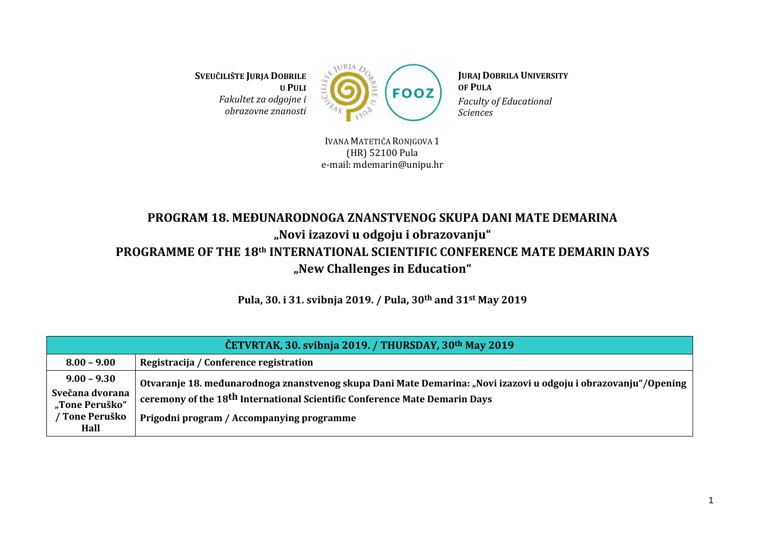**SVEUČILIŠTE JURJA DOBRILE U PULI** *Fakultet za odgojne i obrazovne znanosti*



**JURAJ DOBRILA UNIVERSITY OF PULA** *Faculty of Educational Sciences*

IVANA MATETIĆA RONJGOVA 1 (HR) 52100 Pula e-mail: mdemarin@unipu.hr

## **PROGRAM 18. MEĐUNARODNOGA ZNANSTVENOG SKUPA DANI MATE DEMARINA "Novi izazovi u odgoju i obrazovanju" PROGRAMME OF THE 18th INTERNATIONAL SCIENTIFIC CONFERENCE MATE DEMARIN DAYS "New Challenges in Education"**

**Pula, 30. i 31. svibnja 2019. / Pula, 30th and 31st May 2019**

| ČETVRTAK, 30. svibnja 2019. / THURSDAY, 30th May 2019                                   |                                                                                                                                                                                                                                                        |  |  |  |
|-----------------------------------------------------------------------------------------|--------------------------------------------------------------------------------------------------------------------------------------------------------------------------------------------------------------------------------------------------------|--|--|--|
| $8.00 - 9.00$                                                                           | Registracija / Conference registration                                                                                                                                                                                                                 |  |  |  |
| $9.00 - 9.30$<br>Svečana dvorana<br>"Tone Peruško"<br><sup>/</sup> Tone Peruško<br>Hall | Otvaranje 18. međunarodnoga znanstvenog skupa Dani Mate Demarina: "Novi izazovi u odgoju i obrazovanju"/Opening<br>ceremony of the 18 <sup>th</sup> International Scientific Conference Mate Demarin Days<br>Prigodni program / Accompanying programme |  |  |  |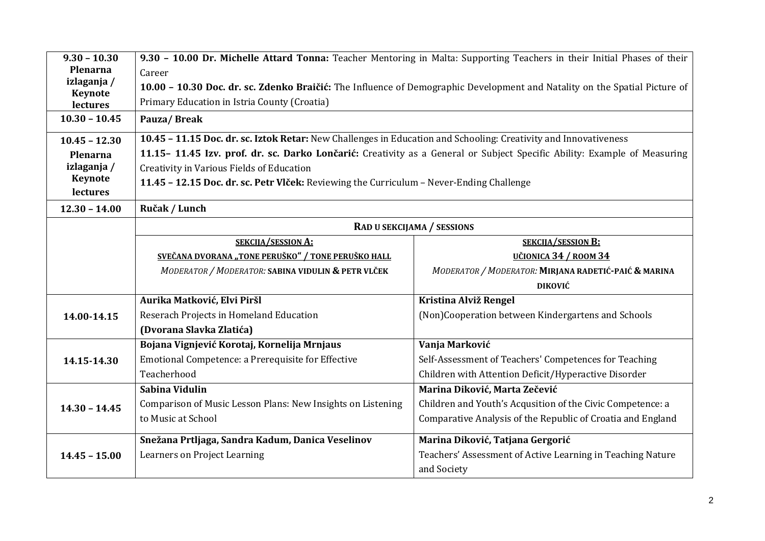| $9.30 - 10.30$                | 9.30 - 10.00 Dr. Michelle Attard Tonna: Teacher Mentoring in Malta: Supporting Teachers in their Initial Phases of their              |                                                             |  |  |  |
|-------------------------------|---------------------------------------------------------------------------------------------------------------------------------------|-------------------------------------------------------------|--|--|--|
| Plenarna                      | Career                                                                                                                                |                                                             |  |  |  |
| izlaganja /<br><b>Keynote</b> | 10.00 - 10.30 Doc. dr. sc. Zdenko Braičić: The Influence of Demographic Development and Natality on the Spatial Picture of            |                                                             |  |  |  |
| lectures                      | Primary Education in Istria County (Croatia)                                                                                          |                                                             |  |  |  |
| $10.30 - 10.45$               | Pauza/Break                                                                                                                           |                                                             |  |  |  |
| $10.45 - 12.30$               | 10.45 - 11.15 Doc. dr. sc. Iztok Retar: New Challenges in Education and Schooling: Creativity and Innovativeness                      |                                                             |  |  |  |
| Plenarna                      | 11.15-11.45 Izv. prof. dr. sc. Darko Lončarić: Creativity as a General or Subject Specific Ability: Example of Measuring              |                                                             |  |  |  |
| izlaganja /                   | Creativity in Various Fields of Education<br>11.45 - 12.15 Doc. dr. sc. Petr Vlček: Reviewing the Curriculum - Never-Ending Challenge |                                                             |  |  |  |
| <b>Keynote</b><br>lectures    |                                                                                                                                       |                                                             |  |  |  |
| $12.30 - 14.00$               | Ručak / Lunch                                                                                                                         |                                                             |  |  |  |
|                               |                                                                                                                                       |                                                             |  |  |  |
|                               | RAD U SEKCIJAMA / SESSIONS                                                                                                            |                                                             |  |  |  |
|                               | <b>SEKCIJA/SESSION A:</b>                                                                                                             | <b>SEKCIJA/SESSION B:</b>                                   |  |  |  |
|                               | SVEČANA DVORANA "TONE PERUŠKO" / TONE PERUŠKO HALL                                                                                    | UČIONICA 34 / ROOM 34                                       |  |  |  |
|                               | MODERATOR / MODERATOR: SABINA VIDULIN & PETR VLČEK                                                                                    | MODERATOR / MODERATOR: MIRJANA RADETIĆ-PAIĆ & MARINA        |  |  |  |
|                               |                                                                                                                                       | <b>DIKOVIĆ</b>                                              |  |  |  |
|                               | Aurika Matković, Elvi Piršl                                                                                                           | Kristina Alviž Rengel                                       |  |  |  |
| 14.00-14.15                   | Reserach Projects in Homeland Education                                                                                               | (Non)Cooperation between Kindergartens and Schools          |  |  |  |
|                               | (Dvorana Slavka Zlatića)                                                                                                              |                                                             |  |  |  |
|                               | Bojana Vignjević Korotaj, Kornelija Mrnjaus                                                                                           | Vanja Marković                                              |  |  |  |
| 14.15-14.30                   | Emotional Competence: a Prerequisite for Effective                                                                                    | Self-Assessment of Teachers' Competences for Teaching       |  |  |  |
|                               | Teacherhood                                                                                                                           | Children with Attention Deficit/Hyperactive Disorder        |  |  |  |
|                               | Sabina Vidulin                                                                                                                        | Marina Diković, Marta Zečević                               |  |  |  |
| $14.30 - 14.45$               | Comparison of Music Lesson Plans: New Insights on Listening                                                                           | Children and Youth's Acqusition of the Civic Competence: a  |  |  |  |
|                               | to Music at School                                                                                                                    | Comparative Analysis of the Republic of Croatia and England |  |  |  |
|                               | Snežana Prtljaga, Sandra Kadum, Danica Veselinov                                                                                      | Marina Diković, Tatjana Gergorić                            |  |  |  |
| $14.45 - 15.00$               | Learners on Project Learning                                                                                                          | Teachers' Assessment of Active Learning in Teaching Nature  |  |  |  |
|                               |                                                                                                                                       | and Society                                                 |  |  |  |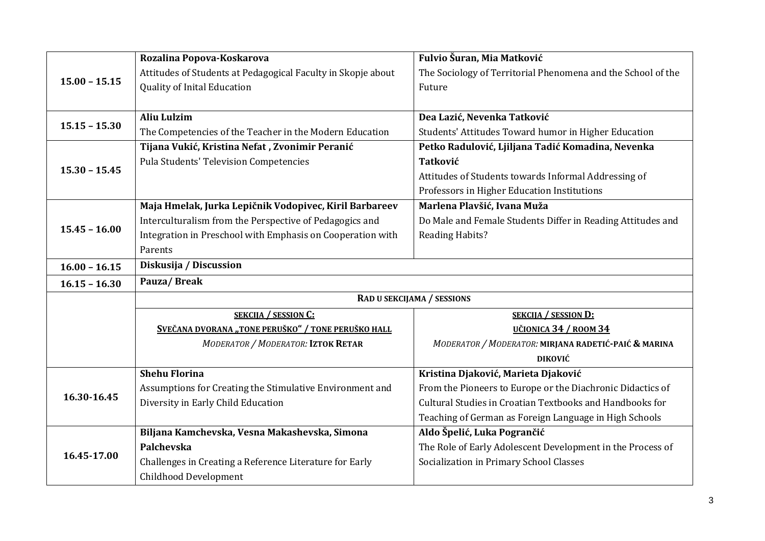| $15.00 - 15.15$ | Rozalina Popova-Koskarova                                    | Fulvio Šuran, Mia Matković                                   |  |
|-----------------|--------------------------------------------------------------|--------------------------------------------------------------|--|
|                 | Attitudes of Students at Pedagogical Faculty in Skopje about | The Sociology of Territorial Phenomena and the School of the |  |
|                 | Quality of Inital Education                                  | Future                                                       |  |
|                 |                                                              |                                                              |  |
| $15.15 - 15.30$ | <b>Aliu Lulzim</b>                                           | Dea Lazić, Nevenka Tatković                                  |  |
|                 | The Competencies of the Teacher in the Modern Education      | Students' Attitudes Toward humor in Higher Education         |  |
|                 | Tijana Vukić, Kristina Nefat, Zvonimir Peranić               | Petko Radulović, Ljiljana Tadić Komadina, Nevenka            |  |
| $15.30 - 15.45$ | <b>Pula Students' Television Competencies</b>                | <b>Tatković</b>                                              |  |
|                 |                                                              | Attitudes of Students towards Informal Addressing of         |  |
|                 |                                                              | Professors in Higher Education Institutions                  |  |
|                 | Maja Hmelak, Jurka Lepičnik Vodopivec, Kiril Barbareev       | Marlena Plavšić, Ivana Muža                                  |  |
| $15.45 - 16.00$ | Interculturalism from the Perspective of Pedagogics and      | Do Male and Female Students Differ in Reading Attitudes and  |  |
|                 | Integration in Preschool with Emphasis on Cooperation with   | <b>Reading Habits?</b>                                       |  |
|                 | Parents                                                      |                                                              |  |
| $16.00 - 16.15$ | Diskusija / Discussion                                       |                                                              |  |
| $16.15 - 16.30$ | Pauza/Break                                                  |                                                              |  |
|                 | RAD U SEKCIJAMA / SESSIONS                                   |                                                              |  |
|                 | <b>SEKCIJA / SESSION C:</b>                                  | <b>SEKCIJA / SESSION D:</b>                                  |  |
|                 | SVEČANA DVORANA "TONE PERUŠKO" / TONE PERUŠKO HALL           | UČIONICA 34 / ROOM 34                                        |  |
|                 | <b>MODERATOR / MODERATOR: IZTOK RETAR</b>                    | MODERATOR / MODERATOR: MIRJANA RADETIĆ-PAIĆ & MARINA         |  |
|                 |                                                              | <b>DIKOVIĆ</b>                                               |  |
|                 | <b>Shehu Florina</b>                                         | Kristina Djaković, Marieta Djaković                          |  |
| 16.30-16.45     | Assumptions for Creating the Stimulative Environment and     | From the Pioneers to Europe or the Diachronic Didactics of   |  |
|                 | Diversity in Early Child Education                           | Cultural Studies in Croatian Textbooks and Handbooks for     |  |
|                 |                                                              | Teaching of German as Foreign Language in High Schools       |  |
| 16.45-17.00     | Biljana Kamchevska, Vesna Makashevska, Simona                | Aldo Špelić, Luka Pogrančić                                  |  |
|                 | Palchevska                                                   | The Role of Early Adolescent Development in the Process of   |  |
|                 | Challenges in Creating a Reference Literature for Early      | Socialization in Primary School Classes                      |  |
|                 | Childhood Development                                        |                                                              |  |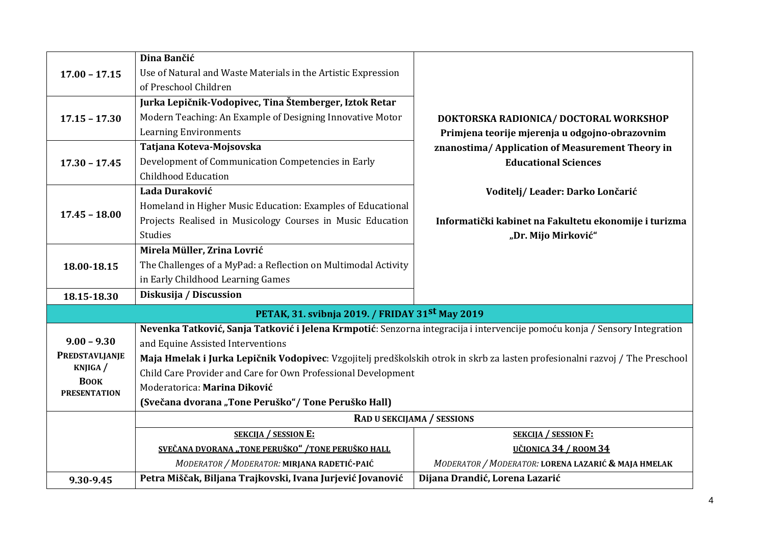| $17.00 - 17.15$         | Dina Bančić                                                                                                                  |                                                       |  |
|-------------------------|------------------------------------------------------------------------------------------------------------------------------|-------------------------------------------------------|--|
|                         | Use of Natural and Waste Materials in the Artistic Expression                                                                |                                                       |  |
|                         | of Preschool Children                                                                                                        |                                                       |  |
|                         | Jurka Lepičnik-Vodopivec, Tina Štemberger, Iztok Retar                                                                       |                                                       |  |
| $17.15 - 17.30$         | Modern Teaching: An Example of Designing Innovative Motor                                                                    | DOKTORSKA RADIONICA/ DOCTORAL WORKSHOP                |  |
|                         | <b>Learning Environments</b>                                                                                                 | Primjena teorije mjerenja u odgojno-obrazovnim        |  |
|                         | Tatjana Koteva-Mojsovska                                                                                                     | znanostima/ Application of Measurement Theory in      |  |
| $17.30 - 17.45$         | Development of Communication Competencies in Early                                                                           | <b>Educational Sciences</b>                           |  |
|                         | <b>Childhood Education</b>                                                                                                   |                                                       |  |
|                         | Lada Duraković                                                                                                               | Voditelj/Leader: Darko Lončarić                       |  |
|                         | Homeland in Higher Music Education: Examples of Educational                                                                  |                                                       |  |
| $17.45 - 18.00$         | Projects Realised in Musicology Courses in Music Education                                                                   | Informatički kabinet na Fakultetu ekonomije i turizma |  |
|                         | <b>Studies</b>                                                                                                               | "Dr. Mijo Mirković"                                   |  |
|                         | Mirela Müller, Zrina Lovrić                                                                                                  |                                                       |  |
| 18.00-18.15             | The Challenges of a MyPad: a Reflection on Multimodal Activity                                                               |                                                       |  |
|                         | in Early Childhood Learning Games                                                                                            |                                                       |  |
| 18.15-18.30             | Diskusija / Discussion                                                                                                       |                                                       |  |
|                         | PETAK, 31. svibnja 2019. / FRIDAY 31st May 2019                                                                              |                                                       |  |
|                         | Nevenka Tatković, Sanja Tatković i Jelena Krmpotić: Senzorna integracija i intervencije pomoću konja / Sensory Integration   |                                                       |  |
| $9.00 - 9.30$           | and Equine Assisted Interventions                                                                                            |                                                       |  |
| PREDSTAVLJANJE          | Maja Hmelak i Jurka Lepičnik Vodopivec: Vzgojitelj predškolskih otrok in skrb za lasten profesionalni razvoj / The Preschool |                                                       |  |
| KNJIGA /<br><b>BOOK</b> | Child Care Provider and Care for Own Professional Development                                                                |                                                       |  |
| <b>PRESENTATION</b>     | Moderatorica: Marina Diković                                                                                                 |                                                       |  |
|                         | (Svečana dvorana "Tone Peruško" / Tone Peruško Hall)                                                                         |                                                       |  |
|                         |                                                                                                                              | RAD U SEKCIJAMA / SESSIONS                            |  |
|                         | <b>SEKCIJA / SESSION E:</b>                                                                                                  | <b>SEKCIJA / SESSION F:</b>                           |  |
|                         | SVEČANA DVORANA "TONE PERUŠKO" /TONE PERUŠKO HALL                                                                            | UČIONICA 34 / ROOM 34                                 |  |
|                         | MODERATOR / MODERATOR: MIRJANA RADETIĆ-PAIĆ                                                                                  | MODERATOR / MODERATOR: LORENA LAZARIĆ & MAJA HMELAK   |  |
| 9.30-9.45               | Petra Miščak, Biljana Trajkovski, Ivana Jurjević Jovanović                                                                   | Dijana Drandić, Lorena Lazarić                        |  |